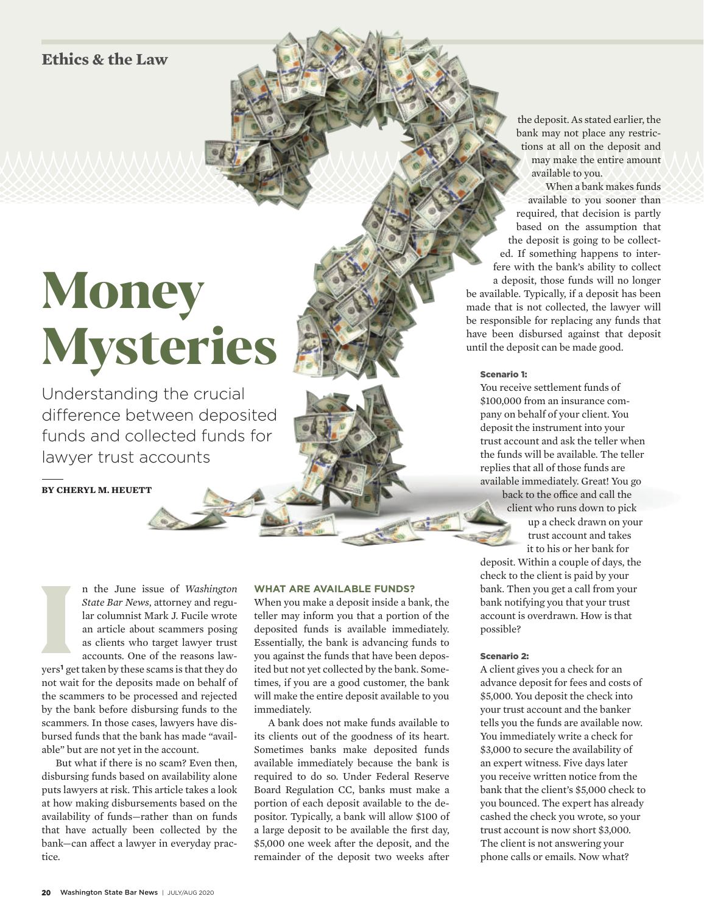**Ethics & the Law**

# Money Mysteries

Understanding the crucial difference between deposited funds and collected funds for lawyer trust accounts

**BY CHERYL M. HEUETT**

International Contract of the Contract of the Contract of the Contract of the Contract of the Contract of the Contract of the Contract of the Contract of the Contract of the Contract of the Contract of the Contract of the n the June issue of *Washington State Bar News*, attorney and regular columnist Mark J. Fucile wrote an article about scammers posing as clients who target lawyer trust accounts. One of the reasons lawyers**1** get taken by these scams is that they do not wait for the deposits made on behalf of the scammers to be processed and rejected by the bank before disbursing funds to the scammers. In those cases, lawyers have disbursed funds that the bank has made "available" but are not yet in the account.

But what if there is no scam? Even then, disbursing funds based on availability alone puts lawyers at risk. This article takes a look at how making disbursements based on the availability of funds—rather than on funds that have actually been collected by the bank—can affect a lawyer in everyday practice.

#### **WHAT ARE AVAILABLE FUNDS?**

When you make a deposit inside a bank, the teller may inform you that a portion of the deposited funds is available immediately. Essentially, the bank is advancing funds to you against the funds that have been deposited but not yet collected by the bank. Sometimes, if you are a good customer, the bank will make the entire deposit available to you immediately.

A bank does not make funds available to its clients out of the goodness of its heart. Sometimes banks make deposited funds available immediately because the bank is required to do so. Under Federal Reserve Board Regulation CC, banks must make a portion of each deposit available to the depositor. Typically, a bank will allow \$100 of a large deposit to be available the first day, \$5,000 one week after the deposit, and the remainder of the deposit two weeks after

the deposit. As stated earlier, the bank may not place any restrictions at all on the deposit and may make the entire amount available to you.

When a bank makes funds available to you sooner than required, that decision is partly based on the assumption that the deposit is going to be collected. If something happens to interfere with the bank's ability to collect a deposit, those funds will no longer be available. Typically, if a deposit has been made that is not collected, the lawyer will be responsible for replacing any funds that have been disbursed against that deposit until the deposit can be made good.

#### Scenario 1:

You receive settlement funds of \$100,000 from an insurance company on behalf of your client. You deposit the instrument into your trust account and ask the teller when the funds will be available. The teller replies that all of those funds are available immediately. Great! You go back to the office and call the

client who runs down to pick up a check drawn on your trust account and takes

it to his or her bank for deposit. Within a couple of days, the check to the client is paid by your bank. Then you get a call from your bank notifying you that your trust account is overdrawn. How is that possible?

#### Scenario 2:

A client gives you a check for an advance deposit for fees and costs of \$5,000. You deposit the check into your trust account and the banker tells you the funds are available now. You immediately write a check for \$3,000 to secure the availability of an expert witness. Five days later you receive written notice from the bank that the client's \$5,000 check to you bounced. The expert has already cashed the check you wrote, so your trust account is now short \$3,000. The client is not answering your phone calls or emails. Now what?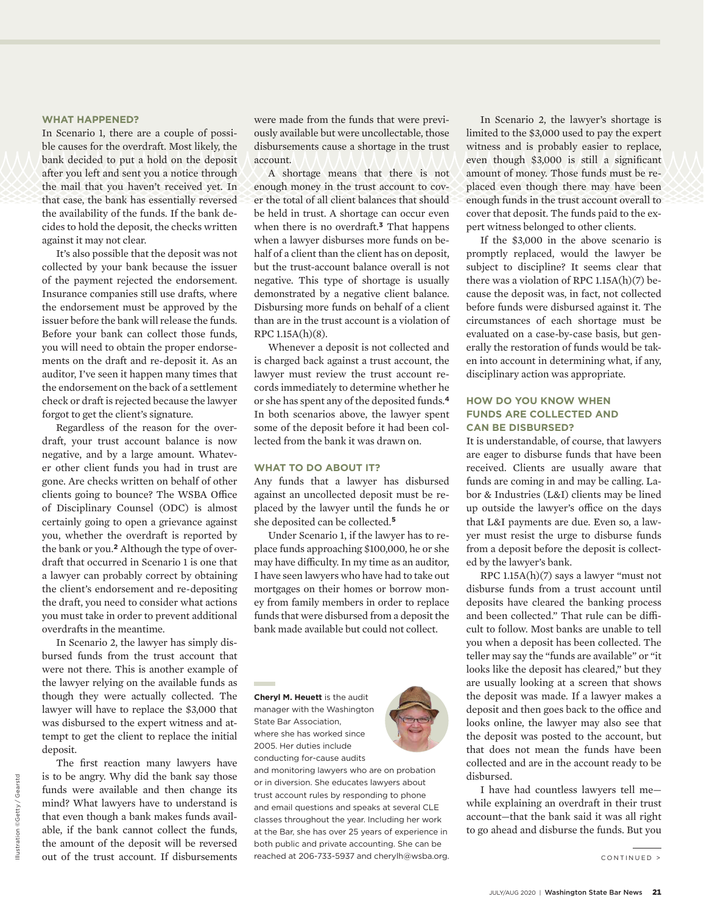#### **WHAT HAPPENED?**

In Scenario 1, there are a couple of possible causes for the overdraft. Most likely, the bank decided to put a hold on the deposit after you left and sent you a notice through the mail that you haven't received yet. In that case, the bank has essentially reversed the availability of the funds. If the bank decides to hold the deposit, the checks written against it may not clear.

It's also possible that the deposit was not collected by your bank because the issuer of the payment rejected the endorsement. Insurance companies still use drafts, where the endorsement must be approved by the issuer before the bank will release the funds. Before your bank can collect those funds, you will need to obtain the proper endorsements on the draft and re-deposit it. As an auditor, I've seen it happen many times that the endorsement on the back of a settlement check or draft is rejected because the lawyer forgot to get the client's signature.

Regardless of the reason for the overdraft, your trust account balance is now negative, and by a large amount. Whatever other client funds you had in trust are gone. Are checks written on behalf of other clients going to bounce? The WSBA Office of Disciplinary Counsel (ODC) is almost certainly going to open a grievance against you, whether the overdraft is reported by the bank or you.**2** Although the type of overdraft that occurred in Scenario 1 is one that a lawyer can probably correct by obtaining the client's endorsement and re-depositing the draft, you need to consider what actions you must take in order to prevent additional overdrafts in the meantime.

In Scenario 2, the lawyer has simply disbursed funds from the trust account that were not there. This is another example of the lawyer relying on the available funds as though they were actually collected. The lawyer will have to replace the \$3,000 that was disbursed to the expert witness and attempt to get the client to replace the initial deposit.

The first reaction many lawyers have is to be angry. Why did the bank say those funds were available and then change its mind? What lawyers have to understand is that even though a bank makes funds available, if the bank cannot collect the funds, the amount of the deposit will be reversed out of the trust account. If disbursements were made from the funds that were previously available but were uncollectable, those disbursements cause a shortage in the trust account.

A shortage means that there is not enough money in the trust account to cover the total of all client balances that should be held in trust. A shortage can occur even when there is no overdraft.**3** That happens when a lawyer disburses more funds on behalf of a client than the client has on deposit, but the trust-account balance overall is not negative. This type of shortage is usually demonstrated by a negative client balance. Disbursing more funds on behalf of a client than are in the trust account is a violation of RPC 1.15A(h)(8).

Whenever a deposit is not collected and is charged back against a trust account, the lawyer must review the trust account records immediately to determine whether he or she has spent any of the deposited funds.**4** In both scenarios above, the lawyer spent some of the deposit before it had been collected from the bank it was drawn on.

#### **WHAT TO DO ABOUT IT?**

Any funds that a lawyer has disbursed against an uncollected deposit must be replaced by the lawyer until the funds he or she deposited can be collected.**5**

Under Scenario 1, if the lawyer has to replace funds approaching \$100,000, he or she may have difficulty. In my time as an auditor, I have seen lawyers who have had to take out mortgages on their homes or borrow money from family members in order to replace funds that were disbursed from a deposit the bank made available but could not collect.

**Cheryl M. Heuett** is the audit manager with the Washington State Bar Association, where she has worked since 2005. Her duties include conducting for-cause audits



and monitoring lawyers who are on probation or in diversion. She educates lawyers about trust account rules by responding to phone and email questions and speaks at several CLE classes throughout the year. Including her work at the Bar, she has over 25 years of experience in both public and private accounting. She can be reached at 206-733-5937 and cherylh@wsba.org.

In Scenario 2, the lawyer's shortage is limited to the \$3,000 used to pay the expert witness and is probably easier to replace, even though \$3,000 is still a significant amount of money. Those funds must be replaced even though there may have been enough funds in the trust account overall to cover that deposit. The funds paid to the expert witness belonged to other clients.

If the \$3,000 in the above scenario is promptly replaced, would the lawyer be subject to discipline? It seems clear that there was a violation of RPC 1.15A(h)(7) because the deposit was, in fact, not collected before funds were disbursed against it. The circumstances of each shortage must be evaluated on a case-by-case basis, but generally the restoration of funds would be taken into account in determining what, if any, disciplinary action was appropriate.

#### **HOW DO YOU KNOW WHEN FUNDS ARE COLLECTED AND CAN BE DISBURSED?**

It is understandable, of course, that lawyers are eager to disburse funds that have been received. Clients are usually aware that funds are coming in and may be calling. Labor & Industries (L&I) clients may be lined up outside the lawyer's office on the days that L&I payments are due. Even so, a lawyer must resist the urge to disburse funds from a deposit before the deposit is collected by the lawyer's bank.

RPC 1.15A(h)(7) says a lawyer "must not disburse funds from a trust account until deposits have cleared the banking process and been collected." That rule can be difficult to follow. Most banks are unable to tell you when a deposit has been collected. The teller may say the "funds are available" or "it looks like the deposit has cleared," but they are usually looking at a screen that shows the deposit was made. If a lawyer makes a deposit and then goes back to the office and looks online, the lawyer may also see that the deposit was posted to the account, but that does not mean the funds have been collected and are in the account ready to be disbursed.

I have had countless lawyers tell me while explaining an overdraft in their trust account—that the bank said it was all right to go ahead and disburse the funds. But you

CONTINUED >